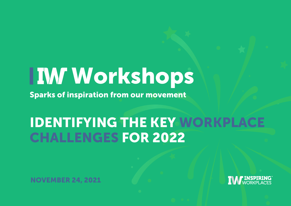# Workshops

Sparks of inspiration from our movement

### IDENTIFYING THE KEY WORKPLACE CHALLENGES FOR 2022

NOVEMBER 24, 2021

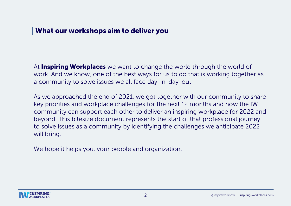#### What our workshops aim to deliver you

At **Inspiring Workplaces** we want to change the world through the world of work. And we know, one of the best ways for us to do that is working together as a community to solve issues we all face day-in-day-out.

As we approached the end of 2021, we got together with our community to share key priorities and workplace challenges for the next 12 months and how the IW community can support each other to deliver an inspiring workplace for 2022 and beyond. This bitesize document represents the start of that professional journey to solve issues as a community by identifying the challenges we anticipate 2022 will bring.

We hope it helps you, your people and organization.

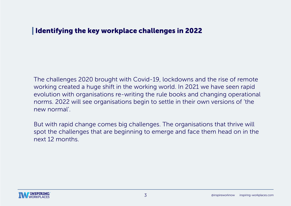#### Identifying the key workplace challenges in 2022

The challenges 2020 brought with Covid-19, lockdowns and the rise of remote working created a huge shift in the working world. In 2021 we have seen rapid evolution with organisations re-writing the rule books and changing operational norms. 2022 will see organisations begin to settle in their own versions of 'the new normal'.

But with rapid change comes big challenges. The organisations that thrive will spot the challenges that are beginning to emerge and face them head on in the next 12 months.

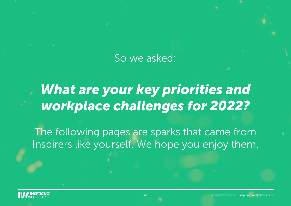### So we asked:

# *What are your key priorities and workplace challenges for 2022?*

The following pages are sparks that came from Inspirers like yourself. We hope you enjoy them.

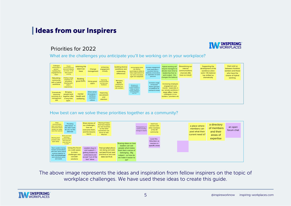#### | Ideas from our Inspirers





What are the challenges you anticipate you'll be working on in your workplace?

| Colleague<br>community in<br>person -<br>building that<br>engagement to<br>retain | People<br>recontracting how<br>they work together<br>as a team - in eth<br>light of hybrid<br>working | retaining the<br>talent we<br>have | Change<br>management                                          | enhancing<br>engagement<br>virtually                  | building diverse<br>workforce and<br>celebrating<br>differences      | encouraging more<br>risk taking /<br>pyscholgical safety to<br>help organisations to<br>be more innovative.<br>agile and adaptable       | Increase engagement<br>level especially in<br>countries that are<br>relatively conservative<br>i.e. separation of work/<br>personal | <b>Hybrid working will</b><br>require managers to<br>devote more time to<br>leadership than to<br>work output - this                                                                    | Streamlining our<br>internal<br>communications<br>channels (We<br>have so many!) | Supporting the<br>development of the<br>workforce when<br>work / life balance<br>has shifted so | them and us<br>between frontline<br>workers and those<br>who have the<br>choice of hybrid |
|-----------------------------------------------------------------------------------|-------------------------------------------------------------------------------------------------------|------------------------------------|---------------------------------------------------------------|-------------------------------------------------------|----------------------------------------------------------------------|------------------------------------------------------------------------------------------------------------------------------------------|-------------------------------------------------------------------------------------------------------------------------------------|-----------------------------------------------------------------------------------------------------------------------------------------------------------------------------------------|----------------------------------------------------------------------------------|-------------------------------------------------------------------------------------------------|-------------------------------------------------------------------------------------------|
| Rebuilding<br>community<br>with a hybrid<br>workforce                             | Putting a large<br>emphasis on<br>storytelling.<br>Sharing each<br>other's<br>experiences.            | <b>Building</b><br>great EVPs      | <b>Hiring great</b><br>talent                                 | Improving<br>communication<br>and two way<br>feedback | Managing<br>flexible<br>working for<br>frontline on-<br>site workers | Managing and<br>communicating<br>change/ resistance to<br>change eg. hybrid<br>working, adapting to<br>technology/digital<br>tools, etc. | Increase usage<br>of Intranet/<br>Teams (groups)<br>as platforms to<br>connect & share                                              | changes the balance<br>Increasing employee<br>engagement and<br>morale - especially in<br>our remote workforce. I<br>mean office / home<br>colleagues vs our<br>builders / plumbers etc |                                                                                  | dramatically                                                                                    | working                                                                                   |
| <b>Dramatically</b><br>improving<br>inclusivity as a<br>management<br>skill       | <b>Bringing</b><br>people back<br>together after<br>a long time<br>apart.                             | mental<br>health and<br>wellbeing  | Drive sense<br>of purpose +<br>reinforce<br>common<br>culture | Improving<br>recruitment<br>and<br>retention          |                                                                      |                                                                                                                                          |                                                                                                                                     |                                                                                                                                                                                         |                                                                                  |                                                                                                 |                                                                                           |

#### How best can we solve these priorities together as a community?



The above image represents the ideas and inspiration from fellow inspirers on the topic of workplace challenges. We have used these ideas to create this guide.

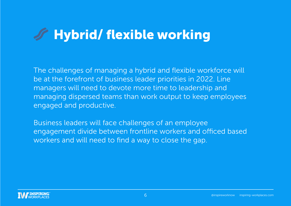# Hybrid/ flexible working

The challenges of managing a hybrid and flexible workforce will be at the forefront of business leader priorities in 2022. Line managers will need to devote more time to leadership and managing dispersed teams than work output to keep employees engaged and productive.

Business leaders will face challenges of an employee engagement divide between frontline workers and officed based workers and will need to find a way to close the gap.

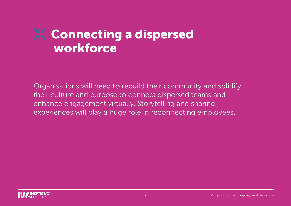### **AK Connecting a dispersed workforce**

Organisations will need to rebuild their community and solidify their culture and purpose to connect dispersed teams and enhance engagement virtually. Storytelling and sharing experiences will play a huge role in reconnecting employees.

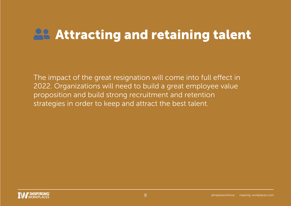# **28 Attracting and retaining talent**

The impact of the great resignation will come into full effect in 2022. Organizations will need to build a great employee value proposition and build strong recruitment and retention strategies in order to keep and attract the best talent.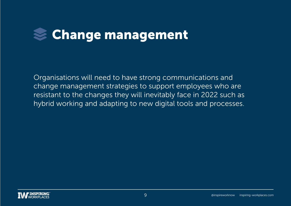

Organisations will need to have strong communications and change management strategies to support employees who are resistant to the changes they will inevitably face in 2022 such as hybrid working and adapting to new digital tools and processes.

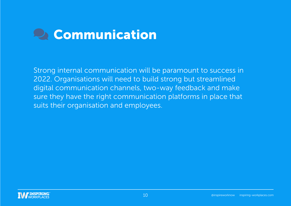# **Communication**

Strong internal communication will be paramount to success in 2022. Organisations will need to build strong but streamlined digital communication channels, two-way feedback and make sure they have the right communication platforms in place that suits their organisation and employees.

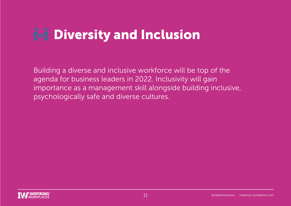# **R-9 Diversity and Inclusion**

Building a diverse and inclusive workforce will be top of the agenda for business leaders in 2022. Inclusivity will gain importance as a management skill alongside building inclusive, psychologically safe and diverse cultures.

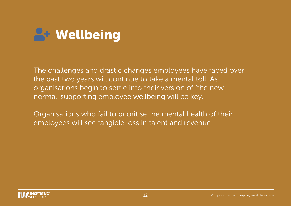

The challenges and drastic changes employees have faced over the past two years will continue to take a mental toll. As organisations begin to settle into their version of 'the new normal' supporting employee wellbeing will be key.

Organisations who fail to prioritise the mental health of their employees will see tangible loss in talent and revenue.

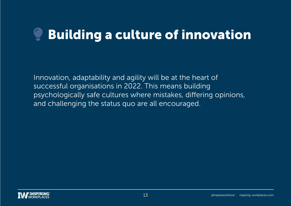# Building a culture of innovation

Innovation, adaptability and agility will be at the heart of successful organisations in 2022. This means building psychologically safe cultures where mistakes, differing opinions, and challenging the status quo are all encouraged.

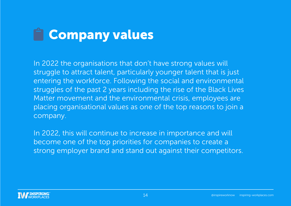# **Encompany values**

In 2022 the organisations that don't have strong values will struggle to attract talent, particularly younger talent that is just entering the workforce. Following the social and environmental struggles of the past 2 years including the rise of the Black Lives Matter movement and the environmental crisis, employees are placing organisational values as one of the top reasons to join a company.

In 2022, this will continue to increase in importance and will become one of the top priorities for companies to create a strong employer brand and stand out against their competitors.

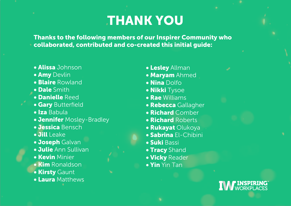### THANK YOU

Thanks to the following members of our Inspirer Community who collaborated, contributed and co-created this initial guide:

- Alissa Johnson
- **Amy Devlin**
- Blaire Rowland
- Dale Smith
- Danielle Reed
- **Gary Butterfield**
- Iza Babula
- **Jennifer** Mosley-Bradley
- Jessica Bensch
- Jill Leake
- **Joseph Galvan**
- Julie Ann Sullivan
- Kevin Minier
- **Kim** Ronaldson
- **Kirsty Gaunt**
- Laura Matthews
- Lesley Allman
- Maryam Ahmed
- Nina Dolfo
- Nikki Tysoe
- Rae Williams
- Rebecca Gallagher
- Richard Comber
- Richard Roberts
- **Rukayat Olukoya**
- Sabrina El-Chibini
- Suki Bassi
- **Tracy** Shand
- Vicky Reader
- Yin Yin Tan

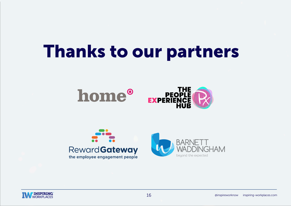# Thanks to our partners